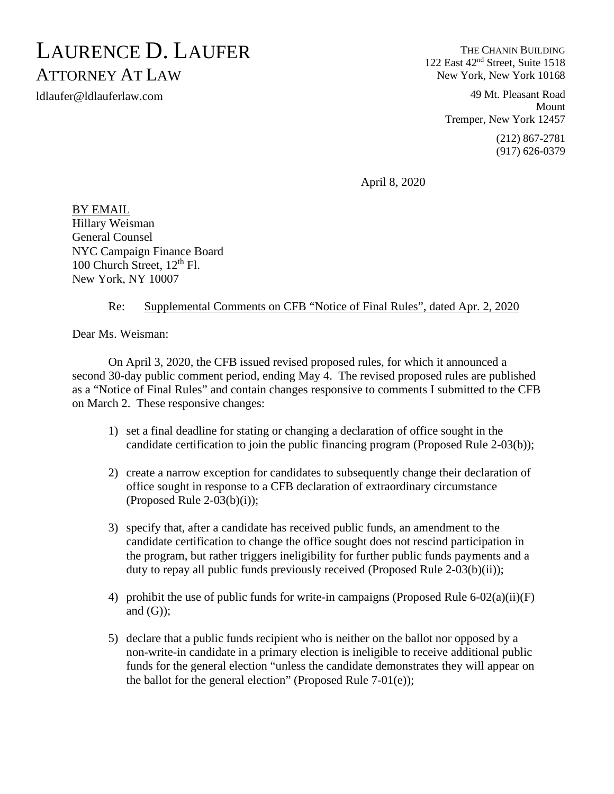## LAURENCE D. LAUFER ATTORNEY AT LAW

ldlaufer@ldlauferlaw.com

THE CHANIN BUILDING 122 East 42nd Street, Suite 1518 New York, New York 10168

> 49 Mt. Pleasant Road Mount Tremper, New York 12457 (212) 867-2781 (917) 626-0379

April 8, 2020

BY EMAIL Hillary Weisman General Counsel NYC Campaign Finance Board 100 Church Street,  $12<sup>th</sup>$  Fl. New York, NY 10007

## Re: Supplemental Comments on CFB "Notice of Final Rules", dated Apr. 2, 2020

Dear Ms. Weisman:

On April 3, 2020, the CFB issued revised proposed rules, for which it announced a second 30-day public comment period, ending May 4. The revised proposed rules are published as a "Notice of Final Rules" and contain changes responsive to comments I submitted to the CFB on March 2. These responsive changes:

- 1) set a final deadline for stating or changing a declaration of office sought in the candidate certification to join the public financing program (Proposed Rule 2-03(b));
- 2) create a narrow exception for candidates to subsequently change their declaration of office sought in response to a CFB declaration of extraordinary circumstance (Proposed Rule 2-03 $(b)(i)$ );
- 3) specify that, after a candidate has received public funds, an amendment to the candidate certification to change the office sought does not rescind participation in the program, but rather triggers ineligibility for further public funds payments and a duty to repay all public funds previously received (Proposed Rule 2-03(b)(ii));
- 4) prohibit the use of public funds for write-in campaigns (Proposed Rule 6-02(a)(ii)(F) and  $(G)$ ;
- 5) declare that a public funds recipient who is neither on the ballot nor opposed by a non-write-in candidate in a primary election is ineligible to receive additional public funds for the general election "unless the candidate demonstrates they will appear on the ballot for the general election" (Proposed Rule  $7-01(e)$ );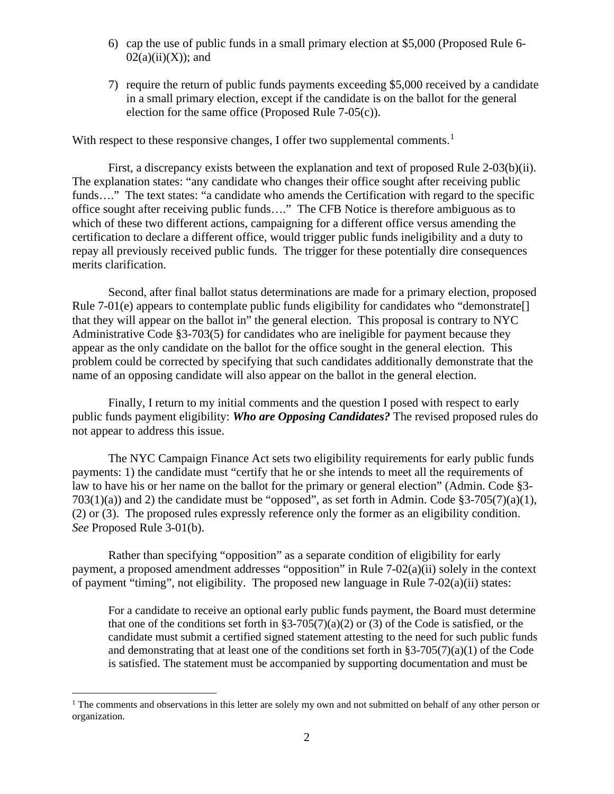- 6) cap the use of public funds in a small primary election at \$5,000 (Proposed Rule 6-  $02(a)(ii)(X)$ ; and
- 7) require the return of public funds payments exceeding \$5,000 received by a candidate in a small primary election, except if the candidate is on the ballot for the general election for the same office (Proposed Rule  $7-05(c)$ ).

With respect to these responsive changes, I offer two supplemental comments.<sup>[1](#page-1-0)</sup>

First, a discrepancy exists between the explanation and text of proposed Rule 2-03(b)(ii). The explanation states: "any candidate who changes their office sought after receiving public funds...." The text states: "a candidate who amends the Certification with regard to the specific office sought after receiving public funds…." The CFB Notice is therefore ambiguous as to which of these two different actions, campaigning for a different office versus amending the certification to declare a different office, would trigger public funds ineligibility and a duty to repay all previously received public funds. The trigger for these potentially dire consequences merits clarification.

Second, after final ballot status determinations are made for a primary election, proposed Rule 7-01(e) appears to contemplate public funds eligibility for candidates who "demonstrate. that they will appear on the ballot in" the general election. This proposal is contrary to NYC Administrative Code §3-703(5) for candidates who are ineligible for payment because they appear as the only candidate on the ballot for the office sought in the general election. This problem could be corrected by specifying that such candidates additionally demonstrate that the name of an opposing candidate will also appear on the ballot in the general election.

Finally, I return to my initial comments and the question I posed with respect to early public funds payment eligibility: *Who are Opposing Candidates?* The revised proposed rules do not appear to address this issue.

The NYC Campaign Finance Act sets two eligibility requirements for early public funds payments: 1) the candidate must "certify that he or she intends to meet all the requirements of law to have his or her name on the ballot for the primary or general election" (Admin. Code §3-  $703(1)(a)$  and 2) the candidate must be "opposed", as set forth in Admin. Code §3-705(7)(a)(1), (2) or (3). The proposed rules expressly reference only the former as an eligibility condition. *See* Proposed Rule 3-01(b).

Rather than specifying "opposition" as a separate condition of eligibility for early payment, a proposed amendment addresses "opposition" in Rule 7-02(a)(ii) solely in the context of payment "timing", not eligibility. The proposed new language in Rule 7-02(a)(ii) states:

For a candidate to receive an optional early public funds payment, the Board must determine that one of the conditions set forth in  $\S3-705(7)(a)(2)$  or (3) of the Code is satisfied, or the candidate must submit a certified signed statement attesting to the need for such public funds and demonstrating that at least one of the conditions set forth in §3-705(7)(a)(1) of the Code is satisfied. The statement must be accompanied by supporting documentation and must be

<span id="page-1-0"></span><sup>&</sup>lt;sup>1</sup> The comments and observations in this letter are solely my own and not submitted on behalf of any other person or organization.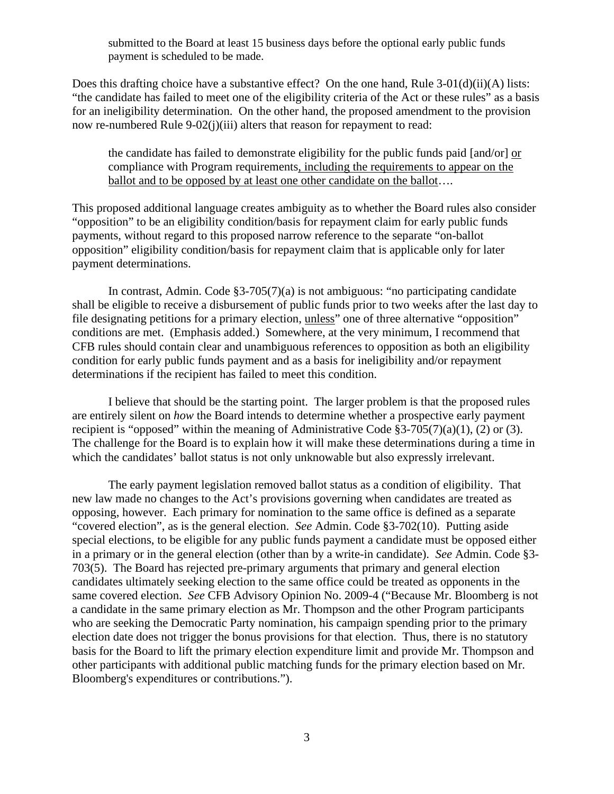submitted to the Board at least 15 business days before the optional early public funds payment is scheduled to be made.

Does this drafting choice have a substantive effect? On the one hand, Rule 3-01(d)(ii)(A) lists: "the candidate has failed to meet one of the eligibility criteria of the Act or these rules" as a basis for an ineligibility determination. On the other hand, the proposed amendment to the provision now re-numbered Rule 9-02(j)(iii) alters that reason for repayment to read:

the candidate has failed to demonstrate eligibility for the public funds paid [and/or] or compliance with Program requirements, including the requirements to appear on the ballot and to be opposed by at least one other candidate on the ballot....

This proposed additional language creates ambiguity as to whether the Board rules also consider "opposition" to be an eligibility condition/basis for repayment claim for early public funds payments, without regard to this proposed narrow reference to the separate "on-ballot opposition" eligibility condition/basis for repayment claim that is applicable only for later payment determinations.

In contrast, Admin. Code §3-705(7)(a) is not ambiguous: "no participating candidate shall be eligible to receive a disbursement of public funds prior to two weeks after the last day to file designating petitions for a primary election, unless" one of three alternative "opposition" conditions are met. (Emphasis added.) Somewhere, at the very minimum, I recommend that CFB rules should contain clear and unambiguous references to opposition as both an eligibility condition for early public funds payment and as a basis for ineligibility and/or repayment determinations if the recipient has failed to meet this condition.

I believe that should be the starting point. The larger problem is that the proposed rules are entirely silent on *how* the Board intends to determine whether a prospective early payment recipient is "opposed" within the meaning of Administrative Code  $\S 3-705(7)(a)(1)$ , (2) or (3). The challenge for the Board is to explain how it will make these determinations during a time in which the candidates' ballot status is not only unknowable but also expressly irrelevant.

The early payment legislation removed ballot status as a condition of eligibility. That new law made no changes to the Act's provisions governing when candidates are treated as opposing, however. Each primary for nomination to the same office is defined as a separate "covered election", as is the general election. *See* Admin. Code §3-702(10). Putting aside special elections, to be eligible for any public funds payment a candidate must be opposed either in a primary or in the general election (other than by a write-in candidate). *See* Admin. Code §3- 703(5). The Board has rejected pre-primary arguments that primary and general election candidates ultimately seeking election to the same office could be treated as opponents in the same covered election. *See* CFB Advisory Opinion No. 2009-4 ("Because Mr. Bloomberg is not a candidate in the same primary election as Mr. Thompson and the other Program participants who are seeking the Democratic Party nomination, his campaign spending prior to the primary election date does not trigger the bonus provisions for that election. Thus, there is no statutory basis for the Board to lift the primary election expenditure limit and provide Mr. Thompson and other participants with additional public matching funds for the primary election based on Mr. Bloomberg's expenditures or contributions.").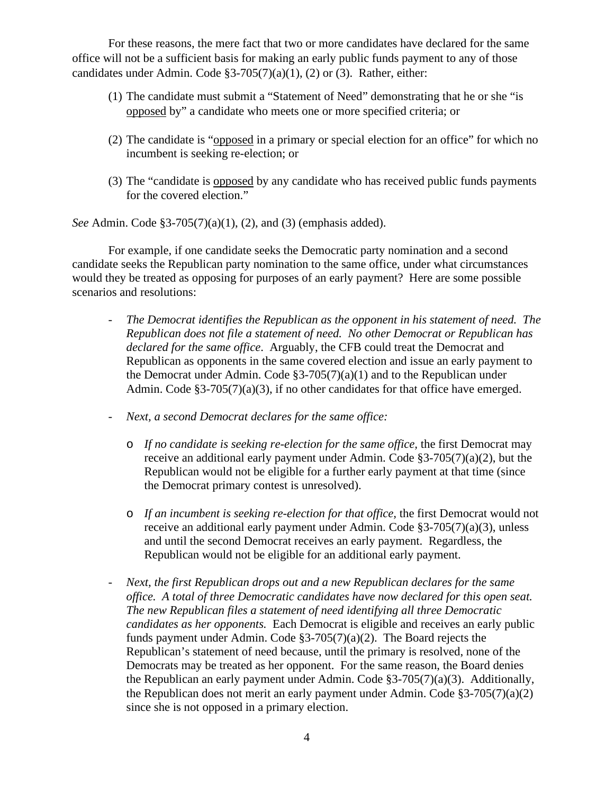For these reasons, the mere fact that two or more candidates have declared for the same office will not be a sufficient basis for making an early public funds payment to any of those candidates under Admin. Code  $\S3-705(7)(a)(1)$ , (2) or (3). Rather, either:

- (1) The candidate must submit a "Statement of Need" demonstrating that he or she "is opposed by" a candidate who meets one or more specified criteria; or
- (2) The candidate is "opposed in a primary or special election for an office" for which no incumbent is seeking re-election; or
- (3) The "candidate is opposed by any candidate who has received public funds payments for the covered election."

*See* Admin. Code §3-705(7)(a)(1), (2), and (3) (emphasis added).

For example, if one candidate seeks the Democratic party nomination and a second candidate seeks the Republican party nomination to the same office, under what circumstances would they be treated as opposing for purposes of an early payment? Here are some possible scenarios and resolutions:

- *The Democrat identifies the Republican as the opponent in his statement of need. The Republican does not file a statement of need. No other Democrat or Republican has declared for the same office*. Arguably, the CFB could treat the Democrat and Republican as opponents in the same covered election and issue an early payment to the Democrat under Admin. Code  $\S3-705(7)(a)(1)$  and to the Republican under Admin. Code §3-705(7)(a)(3), if no other candidates for that office have emerged.
- *Next, a second Democrat declares for the same office:*
	- o *If no candidate is seeking re-election for the same office,* the first Democrat may receive an additional early payment under Admin. Code §3-705(7)(a)(2), but the Republican would not be eligible for a further early payment at that time (since the Democrat primary contest is unresolved).
	- o *If an incumbent is seeking re-election for that office,* the first Democrat would not receive an additional early payment under Admin. Code §3-705(7)(a)(3), unless and until the second Democrat receives an early payment. Regardless, the Republican would not be eligible for an additional early payment.
- *Next, the first Republican drops out and a new Republican declares for the same office. A total of three Democratic candidates have now declared for this open seat. The new Republican files a statement of need identifying all three Democratic candidates as her opponents.* Each Democrat is eligible and receives an early public funds payment under Admin. Code §3-705(7)(a)(2). The Board rejects the Republican's statement of need because, until the primary is resolved, none of the Democrats may be treated as her opponent. For the same reason, the Board denies the Republican an early payment under Admin. Code §3-705(7)(a)(3). Additionally, the Republican does not merit an early payment under Admin. Code §3-705(7)(a)(2) since she is not opposed in a primary election.